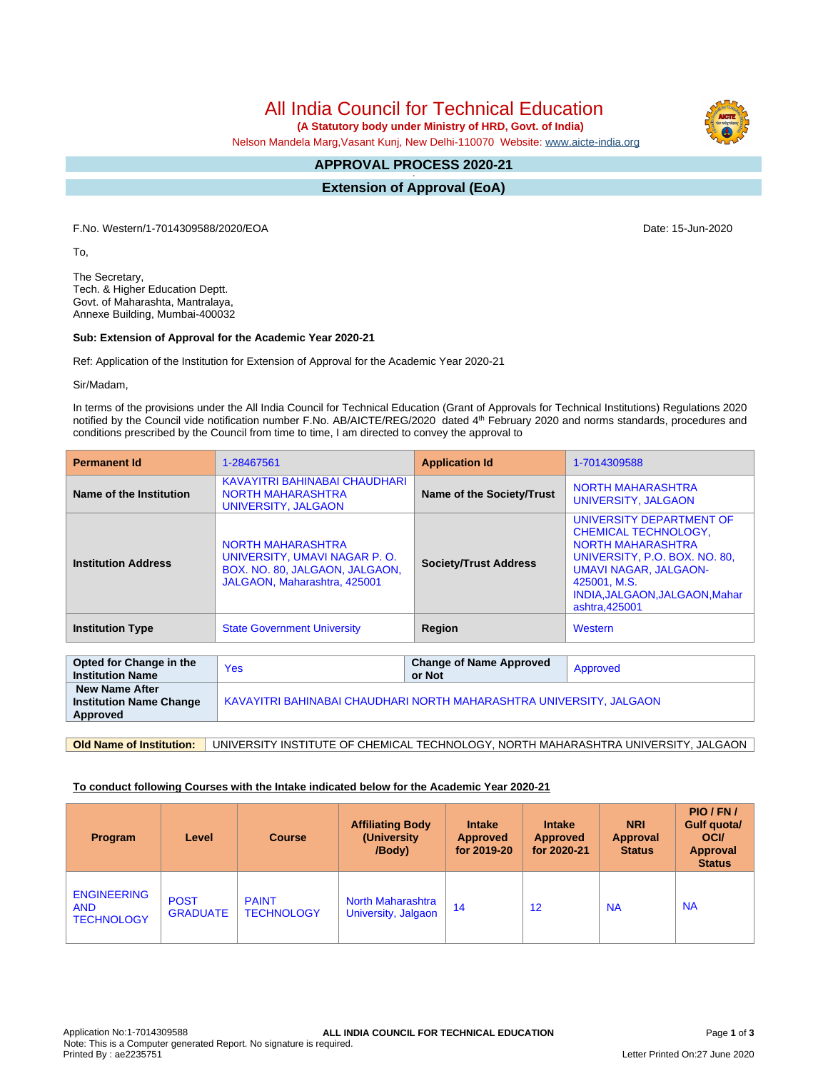# All India Council for Technical Education

 **(A Statutory body under Ministry of HRD, Govt. of India)**

Nelson Mandela Marg,Vasant Kunj, New Delhi-110070 Website: [www.aicte-india.org](http://www.aicte-india.org)

#### **APPROVAL PROCESS 2020-21 -**

**Extension of Approval (EoA)**

F.No. Western/1-7014309588/2020/EOA Date: 15-Jun-2020

To,

The Secretary, Tech. & Higher Education Deptt. Govt. of Maharashta, Mantralaya, Annexe Building, Mumbai-400032

# **Sub: Extension of Approval for the Academic Year 2020-21**

Ref: Application of the Institution for Extension of Approval for the Academic Year 2020-21

Sir/Madam,

In terms of the provisions under the All India Council for Technical Education (Grant of Approvals for Technical Institutions) Regulations 2020 notified by the Council vide notification number F.No. AB/AICTE/REG/2020 dated 4<sup>th</sup> February 2020 and norms standards, procedures and conditions prescribed by the Council from time to time, I am directed to convey the approval to

| <b>Permanent Id</b>        | 1-28467561                                                                                                                 | <b>Application Id</b>        | 1-7014309588                                                                                                                                                                                                             |  |
|----------------------------|----------------------------------------------------------------------------------------------------------------------------|------------------------------|--------------------------------------------------------------------------------------------------------------------------------------------------------------------------------------------------------------------------|--|
| Name of the Institution    | KAVAYITRI BAHINABAI CHAUDHARI<br><b>NORTH MAHARASHTRA</b><br>UNIVERSITY, JALGAON                                           | Name of the Society/Trust    | NORTH MAHARASHTRA<br>UNIVERSITY, JALGAON                                                                                                                                                                                 |  |
| <b>Institution Address</b> | <b>NORTH MAHARASHTRA</b><br>UNIVERSITY, UMAVI NAGAR P.O.<br>BOX. NO. 80, JALGAON, JALGAON,<br>JALGAON, Maharashtra, 425001 | <b>Society/Trust Address</b> | UNIVERSITY DEPARTMENT OF<br><b>CHEMICAL TECHNOLOGY,</b><br><b>NORTH MAHARASHTRA</b><br>UNIVERSITY, P.O. BOX. NO. 80,<br><b>UMAVI NAGAR, JALGAON-</b><br>425001, M.S.<br>INDIA, JALGAON, JALGAON, Mahar<br>ashtra, 425001 |  |
| <b>Institution Type</b>    | <b>State Government University</b>                                                                                         |                              | Western                                                                                                                                                                                                                  |  |

| Opted for Change in the<br><b>Institution Name</b>                  | <b>Yes</b>                                                          | <b>Change of Name Approved</b><br>or Not | Approved |  |  |
|---------------------------------------------------------------------|---------------------------------------------------------------------|------------------------------------------|----------|--|--|
| <b>New Name After</b><br><b>Institution Name Change</b><br>Approved | KAVAYITRI BAHINABAI CHAUDHARI NORTH MAHARASHTRA UNIVERSITY. JALGAON |                                          |          |  |  |

**Old Name of Institution:** UNIVERSITY INSTITUTE OF CHEMICAL TECHNOLOGY, NORTH MAHARASHTRA UNIVERSITY, JALGAON

# **To conduct following Courses with the Intake indicated below for the Academic Year 2020-21**

| Program                                               | Level                          | <b>Course</b>                     | <b>Affiliating Body</b><br>(University)<br>/Body) | <b>Intake</b><br><b>Approved</b><br>for 2019-20 | <b>Intake</b><br><b>Approved</b><br>for 2020-21 | <b>NRI</b><br>Approval<br><b>Status</b> | PIO/FN/<br>Gulf quota/<br><b>OCI</b><br><b>Approval</b><br><b>Status</b> |
|-------------------------------------------------------|--------------------------------|-----------------------------------|---------------------------------------------------|-------------------------------------------------|-------------------------------------------------|-----------------------------------------|--------------------------------------------------------------------------|
| <b>ENGINEERING</b><br><b>AND</b><br><b>TECHNOLOGY</b> | <b>POST</b><br><b>GRADUATE</b> | <b>PAINT</b><br><b>TECHNOLOGY</b> | <b>North Maharashtra</b><br>University, Jalgaon   | 14                                              | 12                                              | <b>NA</b>                               | <b>NA</b>                                                                |

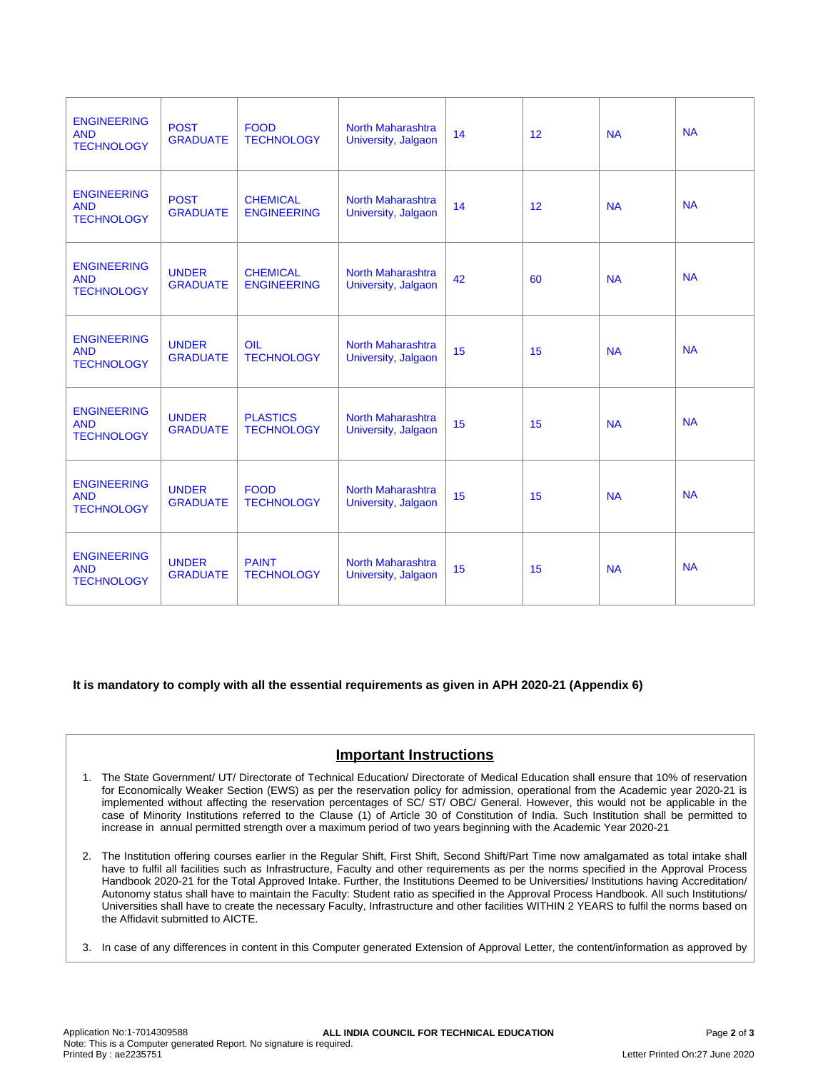| <b>ENGINEERING</b><br><b>AND</b><br><b>TECHNOLOGY</b> | <b>POST</b><br><b>GRADUATE</b>  | <b>FOOD</b><br><b>TECHNOLOGY</b>      | <b>North Maharashtra</b><br>University, Jalgaon | 14 | 12 | <b>NA</b> | <b>NA</b> |
|-------------------------------------------------------|---------------------------------|---------------------------------------|-------------------------------------------------|----|----|-----------|-----------|
| <b>ENGINEERING</b><br><b>AND</b><br><b>TECHNOLOGY</b> | <b>POST</b><br><b>GRADUATE</b>  | <b>CHEMICAL</b><br><b>ENGINEERING</b> | North Maharashtra<br>University, Jalgaon        | 14 | 12 | <b>NA</b> | <b>NA</b> |
| <b>ENGINEERING</b><br><b>AND</b><br><b>TECHNOLOGY</b> | <b>UNDER</b><br><b>GRADUATE</b> | <b>CHEMICAL</b><br><b>ENGINEERING</b> | <b>North Maharashtra</b><br>University, Jalgaon | 42 | 60 | <b>NA</b> | <b>NA</b> |
| <b>ENGINEERING</b><br><b>AND</b><br><b>TECHNOLOGY</b> | <b>UNDER</b><br><b>GRADUATE</b> | <b>OIL</b><br><b>TECHNOLOGY</b>       | <b>North Maharashtra</b><br>University, Jalgaon | 15 | 15 | <b>NA</b> | <b>NA</b> |
| <b>ENGINEERING</b><br><b>AND</b><br><b>TECHNOLOGY</b> | <b>UNDER</b><br><b>GRADUATE</b> | <b>PLASTICS</b><br><b>TECHNOLOGY</b>  | <b>North Maharashtra</b><br>University, Jalgaon | 15 | 15 | <b>NA</b> | <b>NA</b> |
| <b>ENGINEERING</b><br><b>AND</b><br><b>TECHNOLOGY</b> | <b>UNDER</b><br><b>GRADUATE</b> | <b>FOOD</b><br><b>TECHNOLOGY</b>      | <b>North Maharashtra</b><br>University, Jalgaon | 15 | 15 | <b>NA</b> | <b>NA</b> |
| <b>ENGINEERING</b><br><b>AND</b><br><b>TECHNOLOGY</b> | <b>UNDER</b><br><b>GRADUATE</b> | <b>PAINT</b><br><b>TECHNOLOGY</b>     | North Maharashtra<br>University, Jalgaon        | 15 | 15 | <b>NA</b> | <b>NA</b> |

**It is mandatory to comply with all the essential requirements as given in APH 2020-21 (Appendix 6)**

# **Important Instructions**

- 1. The State Government/ UT/ Directorate of Technical Education/ Directorate of Medical Education shall ensure that 10% of reservation for Economically Weaker Section (EWS) as per the reservation policy for admission, operational from the Academic year 2020-21 is implemented without affecting the reservation percentages of SC/ ST/ OBC/ General. However, this would not be applicable in the case of Minority Institutions referred to the Clause (1) of Article 30 of Constitution of India. Such Institution shall be permitted to increase in annual permitted strength over a maximum period of two years beginning with the Academic Year 2020-21
- 2. The Institution offering courses earlier in the Regular Shift, First Shift, Second Shift/Part Time now amalgamated as total intake shall have to fulfil all facilities such as Infrastructure, Faculty and other requirements as per the norms specified in the Approval Process Handbook 2020-21 for the Total Approved Intake. Further, the Institutions Deemed to be Universities/ Institutions having Accreditation/ Autonomy status shall have to maintain the Faculty: Student ratio as specified in the Approval Process Handbook. All such Institutions/ Universities shall have to create the necessary Faculty, Infrastructure and other facilities WITHIN 2 YEARS to fulfil the norms based on the Affidavit submitted to AICTE.
- 3. In case of any differences in content in this Computer generated Extension of Approval Letter, the content/information as approved by